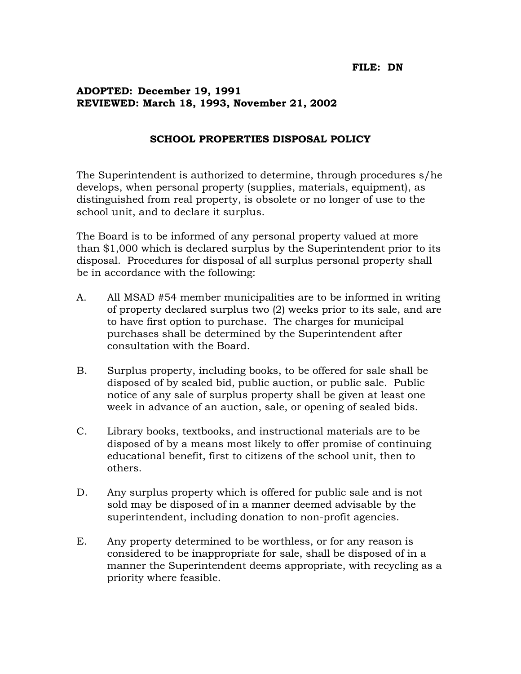## **ADOPTED: December 19, 1991 REVIEWED: March 18, 1993, November 21, 2002**

## **SCHOOL PROPERTIES DISPOSAL POLICY**

The Superintendent is authorized to determine, through procedures s/he develops, when personal property (supplies, materials, equipment), as distinguished from real property, is obsolete or no longer of use to the school unit, and to declare it surplus.

The Board is to be informed of any personal property valued at more than \$1,000 which is declared surplus by the Superintendent prior to its disposal. Procedures for disposal of all surplus personal property shall be in accordance with the following:

- A. All MSAD #54 member municipalities are to be informed in writing of property declared surplus two (2) weeks prior to its sale, and are to have first option to purchase. The charges for municipal purchases shall be determined by the Superintendent after consultation with the Board.
- B. Surplus property, including books, to be offered for sale shall be disposed of by sealed bid, public auction, or public sale. Public notice of any sale of surplus property shall be given at least one week in advance of an auction, sale, or opening of sealed bids.
- C. Library books, textbooks, and instructional materials are to be disposed of by a means most likely to offer promise of continuing educational benefit, first to citizens of the school unit, then to others.
- D. Any surplus property which is offered for public sale and is not sold may be disposed of in a manner deemed advisable by the superintendent, including donation to non-profit agencies.
- E. Any property determined to be worthless, or for any reason is considered to be inappropriate for sale, shall be disposed of in a manner the Superintendent deems appropriate, with recycling as a priority where feasible.